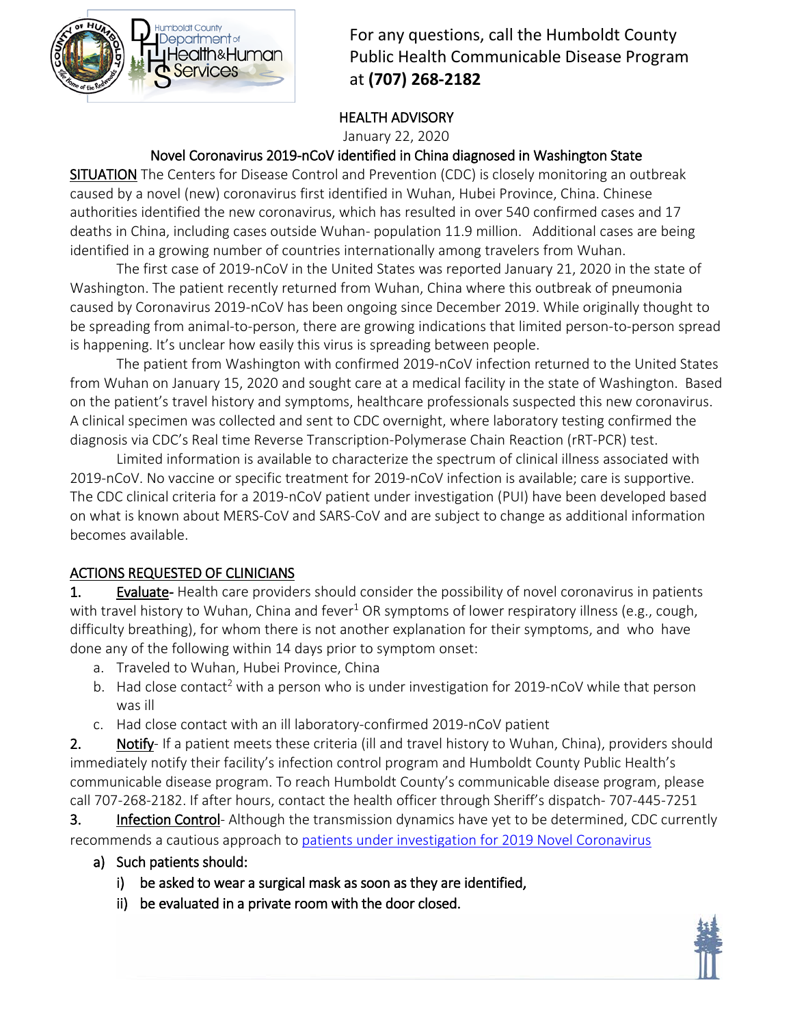

For any questions, call the Humboldt County Public Health Communicable Disease Program at **(707) 268-2182**

# HEALTH ADVISORY

January 22, 2020

# Novel Coronavirus 2019-nCoV identified in China diagnosed in Washington State

SITUATION The Centers for Disease Control and Prevention (CDC) is closely monitoring an outbreak caused by a novel (new) coronavirus first identified in Wuhan, Hubei Province, China. Chinese authorities identified the new coronavirus, which has resulted in over 540 confirmed cases and 17 deaths in China, including cases outside Wuhan- population 11.9 million. Additional cases are being identified in a growing number of countries internationally among travelers from Wuhan.

The first case of 2019-nCoV in the United States was reported January 21, 2020 in the state of Washington. The patient recently returned from Wuhan, China where this outbreak of pneumonia caused by Coronavirus 2019-nCoV has been ongoing since December 2019. While originally thought to be spreading from animal-to-person, there are growing indications that limited person-to-person spread is happening. It's unclear how easily this virus is spreading between people.

The patient from Washington with confirmed 2019-nCoV infection returned to the United States from Wuhan on January 15, 2020 and sought care at a medical facility in the state of Washington. Based on the patient's travel history and symptoms, healthcare professionals suspected this new coronavirus. A clinical specimen was collected and sent to CDC overnight, where laboratory testing confirmed the diagnosis via CDC's Real time Reverse Transcription-Polymerase Chain Reaction (rRT-PCR) test.

Limited information is available to characterize the spectrum of clinical illness associated with 2019-nCoV. No vaccine or specific treatment for 2019-nCoV infection is available; care is supportive. The CDC clinical criteria for a 2019-nCoV patient under investigation (PUI) have been developed based on what is known about MERS-CoV and SARS-CoV and are subject to change as additional information becomes available.

# ACTIONS REQUESTED OF CLINICIANS

1. Evaluate- Health care providers should consider the possibility of novel coronavirus in patients with travel history to Wuhan, China and fever<sup>1</sup> OR symptoms of lower respiratory illness (e.g., cough, difficulty breathing), for whom there is not another explanation for their symptoms, and who have done any of the following within 14 days prior to symptom onset:

- a. Traveled to Wuhan, Hubei Province, China
- b. Had close contact<sup>2</sup> with a person who is under investigation for 2019-nCoV while that person was ill
- c. Had close contact with an ill laboratory-confirmed 2019-nCoV patient

2. Notify- If a patient meets these criteria (ill and travel history to Wuhan, China), providers should immediately notify their facility's infection control program and Humboldt County Public Health's communicable disease program. To reach Humboldt County's communicable disease program, please call 707-268-2182. If after hours, contact the health officer through Sheriff's dispatch- 707-445-7251

3. Infection Control- Although the transmission dynamics have yet to be determined, CDC currently recommends a cautious approach to [patients under investigation for 2019 Novel Coronavirus](https://www.cdc.gov/coronavirus/2019-nCoV/clinical-criteria.html)

- a) Such patients should:
	- i) be asked to wear a surgical mask as soon as they are identified,
	- ii) be evaluated in a private room with the door closed.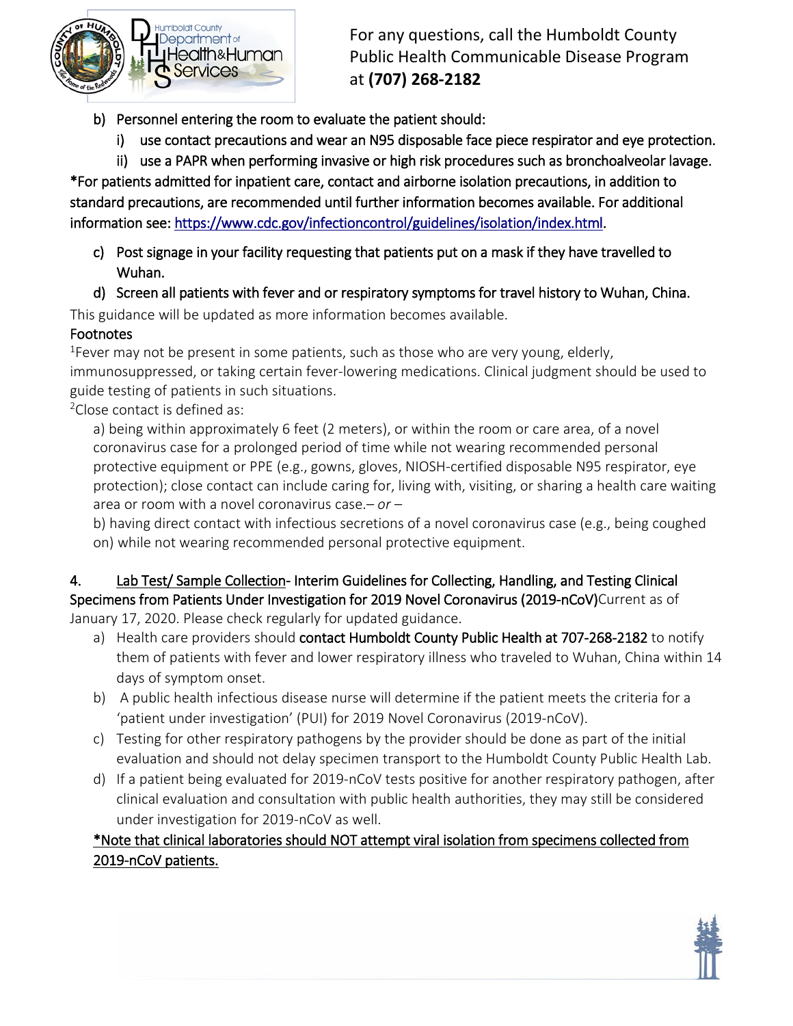

For any questions, call the Humboldt County Public Health Communicable Disease Program at **(707) 268-2182**

- b) Personnel entering the room to evaluate the patient should:
	- i) use contact precautions and wear an N95 disposable face piece respirator and eye protection.
	- ii) use a PAPR when performing invasive or high risk procedures such as bronchoalveolar lavage.

\*For patients admitted for inpatient care, contact and airborne isolation precautions, in addition to standard precautions, are recommended until further information becomes available. For additional information see[: https://www.cdc.gov/infectioncontrol/guidelines/isolation/index.html.](https://www.cdc.gov/infectioncontrol/guidelines/isolation/index.html)

- c) Post signage in your facility requesting that patients put on a mask if they have travelled to Wuhan.
- d) Screen all patients with fever and or respiratory symptoms for travel history to Wuhan, China.

This guidance will be updated as more information becomes available.

Footnotes<br><sup>1</sup>Fever may not be present in some patients, such as those who are very young, elderly, immunosuppressed, or taking certain fever-lowering medications. Clinical judgment should be used to guide testing of patients in such situations.

<sup>2</sup>Close contact is defined as:

a) being within approximately 6 feet (2 meters), or within the room or care area, of a novel coronavirus case for a prolonged period of time while not wearing recommended personal protective equipment or PPE (e.g., gowns, gloves, NIOSH-certified disposable N95 respirator, eye protection); close contact can include caring for, living with, visiting, or sharing a health care waiting area or room with a novel coronavirus case.*– or –*

b) having direct contact with infectious secretions of a novel coronavirus case (e.g., being coughed on) while not wearing recommended personal protective equipment.

#### 4. Lab Test/ Sample Collection- Interim Guidelines for Collecting, Handling, and Testing Clinical Specimens from Patients Under Investigation for 2019 Novel Coronavirus (2019-nCoV)Current as of January 17, 2020. Please check regularly for updated guidance.

- a) Health care providers should contact Humboldt County Public Health at 707-268-2182 to notify them of patients with fever and lower respiratory illness who traveled to Wuhan, China within 14 days of symptom onset.
- b) A public health infectious disease nurse will determine if the patient meets the criteria for a 'patient under investigation' (PUI) for 2019 Novel Coronavirus (2019-nCoV).
- c) Testing for other respiratory pathogens by the provider should be done as part of the initial evaluation and should not delay specimen transport to the Humboldt County Public Health Lab.
- d) If a patient being evaluated for 2019-nCoV tests positive for another respiratory pathogen, after clinical evaluation and consultation with public health authorities, they may still be considered under investigation for 2019-nCoV as well.

# \*Note that clinical laboratories should NOT attempt viral isolation from specimens collected from 2019-nCoV patients.